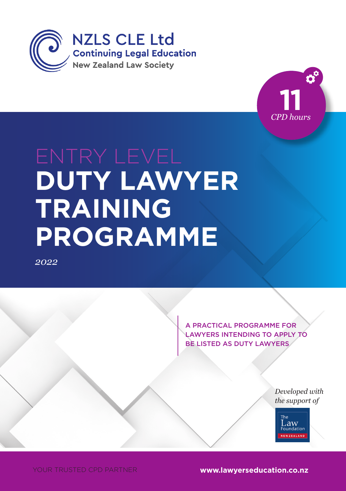



# **DUTY LAWYER** TRAINING *Month 2014* **PROGRAMME**

*2022*

A PRACTICAL PROGRAMME FOR LAWYERS INTENDING TO APPLY TO BE LISTED AS DUTY LAWYERS

> *Developed with the support of*



YOUR TRUSTED CPD PARTNER **www.lawyerseducation.co.nz**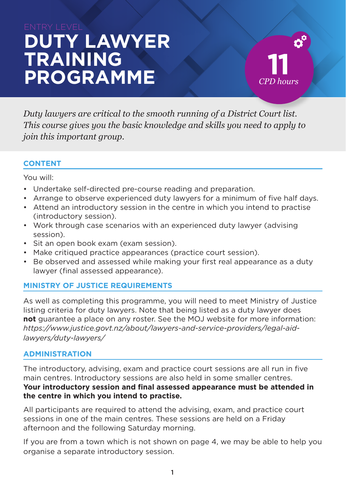# **DUTY LAWYER TRAINING PROGRAMME**

 $\boldsymbol{\phi}^{\mathrm{c}}$ **11** *CPD hours*

*Duty lawyers are critical to the smooth running of a District Court list. This course gives you the basic knowledge and skills you need to apply to join this important group.*

#### **CONTENT**

You will:

- Undertake self-directed pre-course reading and preparation.
- Arrange to observe experienced duty lawyers for a minimum of five half days.
- Attend an introductory session in the centre in which you intend to practise (introductory session).
- Work through case scenarios with an experienced duty lawyer (advising session).
- Sit an open book exam (exam session).
- Make critiqued practice appearances (practice court session).
- Be observed and assessed while making your first real appearance as a duty lawyer (final assessed appearance).

#### **MINISTRY OF JUSTICE REQUIREMENTS**

As well as completing this programme, you will need to meet Ministry of Justice listing criteria for duty lawyers. Note that being listed as a duty lawyer does **not** guarantee a place on any roster. See the MOJ website for more information: *https://www.justice.govt.nz/about/lawyers-and-service-providers/legal-aidlawyers/duty-lawyers/*

#### **ADMINISTRATION**

The introductory, advising, exam and practice court sessions are all run in five main centres. Introductory sessions are also held in some smaller centres. **Your introductory session and final assessed appearance must be attended in the centre in which you intend to practise.** 

All participants are required to attend the advising, exam, and practice court sessions in one of the main centres. These sessions are held on a Friday afternoon and the following Saturday morning.

If you are from a town which is not shown on page 4, we may be able to help you organise a separate introductory session.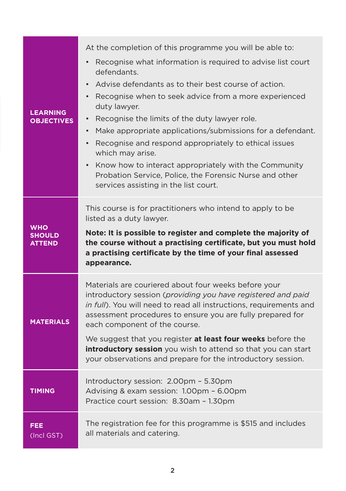| <b>LEARNING</b><br><b>OBJECTIVES</b>         | At the completion of this programme you will be able to:<br>Recognise what information is required to advise list court<br>defendants.<br>Advise defendants as to their best course of action.<br>$\bullet$<br>Recognise when to seek advice from a more experienced<br>duty lawyer.<br>Recognise the limits of the duty lawyer role.<br>٠<br>Make appropriate applications/submissions for a defendant.<br>Recognise and respond appropriately to ethical issues<br>which may arise.<br>Know how to interact appropriately with the Community<br>$\bullet$<br>Probation Service, Police, the Forensic Nurse and other<br>services assisting in the list court. |
|----------------------------------------------|-----------------------------------------------------------------------------------------------------------------------------------------------------------------------------------------------------------------------------------------------------------------------------------------------------------------------------------------------------------------------------------------------------------------------------------------------------------------------------------------------------------------------------------------------------------------------------------------------------------------------------------------------------------------|
| <b>WHO</b><br><b>SHOULD</b><br><b>ATTEND</b> | This course is for practitioners who intend to apply to be<br>listed as a duty lawyer.<br>Note: It is possible to register and complete the majority of<br>the course without a practising certificate, but you must hold<br>a practising certificate by the time of your final assessed<br>appearance.                                                                                                                                                                                                                                                                                                                                                         |
| <b>MATERIALS</b>                             | Materials are couriered about four weeks before your<br>introductory session (providing you have registered and paid<br>in full). You will need to read all instructions, requirements and<br>assessment procedures to ensure you are fully prepared for<br>each component of the course.<br>We suggest that you register at least four weeks before the<br>introductory session you wish to attend so that you can start<br>your observations and prepare for the introductory session.                                                                                                                                                                        |
| <b>TIMING</b>                                | Introductory session: 2.00pm - 5.30pm<br>Advising & exam session: 1.00pm - 6.00pm<br>Practice court session: 8.30am - 1.30pm                                                                                                                                                                                                                                                                                                                                                                                                                                                                                                                                    |
| <b>FEE</b><br>(Incl GST)                     | The registration fee for this programme is \$515 and includes<br>all materials and catering.                                                                                                                                                                                                                                                                                                                                                                                                                                                                                                                                                                    |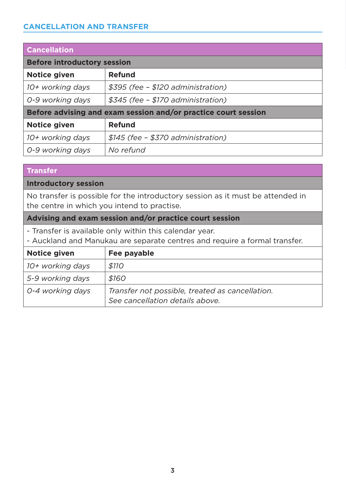#### **CANCELLATION AND TRANSFER**

| <b>Cancellation</b>                                            |                                    |  |  |  |  |
|----------------------------------------------------------------|------------------------------------|--|--|--|--|
| <b>Before introductory session</b>                             |                                    |  |  |  |  |
| Notice given                                                   | Refund                             |  |  |  |  |
| 10+ working days                                               | \$395 (fee - \$120 administration) |  |  |  |  |
| 0-9 working days                                               | \$345 (fee - \$170 administration) |  |  |  |  |
| Before advising and exam session and/or practice court session |                                    |  |  |  |  |
| Notice given                                                   | <b>Refund</b>                      |  |  |  |  |
| 10+ working days                                               | \$145 (fee – \$370 administration) |  |  |  |  |
| 0-9 working days                                               | No refund                          |  |  |  |  |

#### **Transfer**

#### **Introductory session**

No transfer is possible for the introductory session as it must be attended in the centre in which you intend to practise.

#### **Advising and exam session and/or practice court session**

- Transfer is available only within this calendar year.

- Auckland and Manukau are separate centres and require a formal transfer.

| Notice given     | Fee payable                                                                        |
|------------------|------------------------------------------------------------------------------------|
| 10+ working days | <i><b>\$110</b></i>                                                                |
| 5-9 working days | \$160                                                                              |
| 0-4 working days | Transfer not possible, treated as cancellation.<br>See cancellation details above. |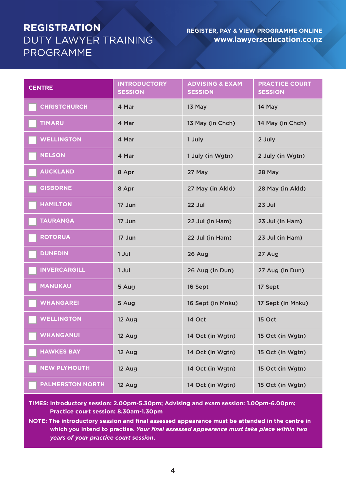### **REGISTRATION**  DUTY LAWYER TRAINING PROGRAMME

#### **REGISTER, PAY & VIEW PROGRAMME ONLINE www.lawyerseducation.co.nz**

| <b>CENTRE</b>           | <b>INTRODUCTORY</b><br><b>SESSION</b> | <b>ADVISING &amp; EXAM</b><br><b>SESSION</b> | <b>PRACTICE COURT</b><br><b>SESSION</b> |
|-------------------------|---------------------------------------|----------------------------------------------|-----------------------------------------|
| <b>CHRISTCHURCH</b>     | 4 Mar                                 | 13 May                                       | 14 May                                  |
| <b>TIMARU</b>           | 4 Mar                                 | 13 May (in Chch)                             | 14 May (in Chch)                        |
| <b>WELLINGTON</b>       | 4 Mar                                 | 1 July                                       | 2 July                                  |
| <b>NELSON</b>           | 4 Mar                                 | 1 July (in Wgtn)                             | 2 July (in Wgtn)                        |
| <b>AUCKLAND</b>         | 8 Apr                                 | 27 May                                       | 28 May                                  |
| <b>GISBORNE</b>         | 8 Apr                                 | 27 May (in Akld)                             | 28 May (in Akld)                        |
| <b>HAMILTON</b>         | 17 Jun                                | 22 Jul                                       | 23 Jul                                  |
| <b>TAURANGA</b>         | 17 Jun                                | 22 Jul (in Ham)                              | 23 Jul (in Ham)                         |
| <b>ROTORUA</b>          | 17 Jun                                | 22 Jul (in Ham)                              | 23 Jul (in Ham)                         |
| <b>DUNEDIN</b>          | 1 Jul                                 | 26 Aug                                       | 27 Aug                                  |
| <b>INVERCARGILL</b>     | 1 Jul                                 | 26 Aug (in Dun)                              | 27 Aug (in Dun)                         |
| <b>MANUKAU</b>          | 5 Aug                                 | 16 Sept                                      | 17 Sept                                 |
| <b>WHANGAREI</b>        | 5 Aug                                 | 16 Sept (in Mnku)                            | 17 Sept (in Mnku)                       |
| <b>WELLINGTON</b>       | 12 Aug                                | 14 Oct                                       | <b>15 Oct</b>                           |
| <b>WHANGANUI</b>        | 12 Aug                                | 14 Oct (in Wgtn)                             | 15 Oct (in Wgtn)                        |
| <b>HAWKES BAY</b>       | 12 Aug                                | 14 Oct (in Wgtn)                             | 15 Oct (in Wgtn)                        |
| <b>NEW PLYMOUTH</b>     | 12 Aug                                | 14 Oct (in Wgtn)                             | 15 Oct (in Wgtn)                        |
| <b>PALMERSTON NORTH</b> | 12 Aug                                | 14 Oct (in Wgtn)                             | 15 Oct (in Wgtn)                        |

**TIMES: Introductory session: 2.00pm-5.30pm; Advising and exam session: 1.00pm-6.00pm; Practice court session: 8.30am-1.30pm**

**NOTE: The introductory session and final assessed appearance must be attended in the centre in which you intend to practise.** *Your final assessed appearance must take place within two years of your practice court session***.**